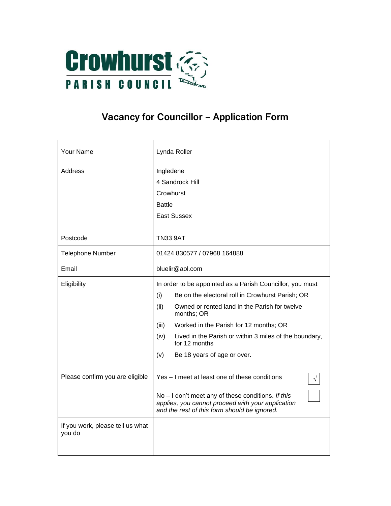

## **Vacancy for Councillor – Application Form**

| Your Name                                  | Lynda Roller                                                                                                                                                                                                                                                                                                                                                            |
|--------------------------------------------|-------------------------------------------------------------------------------------------------------------------------------------------------------------------------------------------------------------------------------------------------------------------------------------------------------------------------------------------------------------------------|
| Address                                    | Ingledene<br>4 Sandrock Hill<br>Crowhurst<br><b>Battle</b><br><b>East Sussex</b>                                                                                                                                                                                                                                                                                        |
| Postcode                                   | <b>TN33 9AT</b>                                                                                                                                                                                                                                                                                                                                                         |
| <b>Telephone Number</b>                    | 01424 830577 / 07968 164888                                                                                                                                                                                                                                                                                                                                             |
| Email                                      | bluelir@aol.com                                                                                                                                                                                                                                                                                                                                                         |
| Eligibility                                | In order to be appointed as a Parish Councillor, you must<br>Be on the electoral roll in Crowhurst Parish; OR<br>(i)<br>(ii)<br>Owned or rented land in the Parish for twelve<br>months; OR<br>(iii)<br>Worked in the Parish for 12 months; OR<br>(iv)<br>Lived in the Parish or within 3 miles of the boundary,<br>for 12 months<br>(v)<br>Be 18 years of age or over. |
| Please confirm you are eligible            | Yes - I meet at least one of these conditions<br>$No - I don't meet any of these conditions. If this$<br>applies, you cannot proceed with your application<br>and the rest of this form should be ignored.                                                                                                                                                              |
| If you work, please tell us what<br>you do |                                                                                                                                                                                                                                                                                                                                                                         |